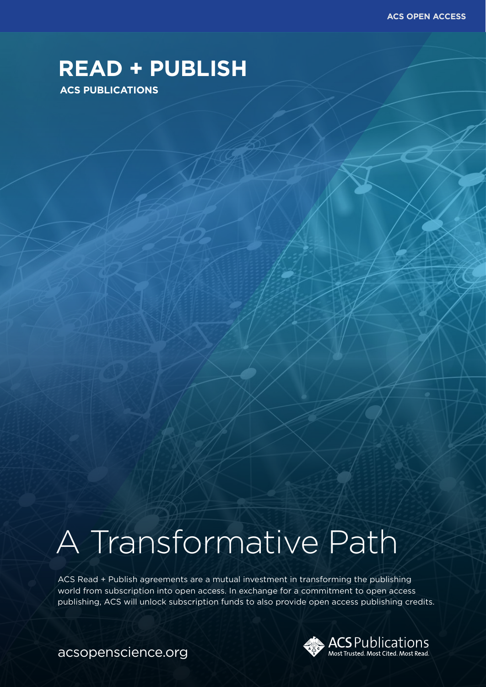**ACS OPEN ACCESS**

## **READ + PUBLISH**

#### **ACS PUBLICATIONS**

# A Transformative Path

ACS Read + Publish agreements are a mutual investment in transforming the publishing world from subscription into open access. In exchange for a commitment to open access publishing, ACS will unlock subscription funds to also provide open access publishing credits.



acsopenscience.org